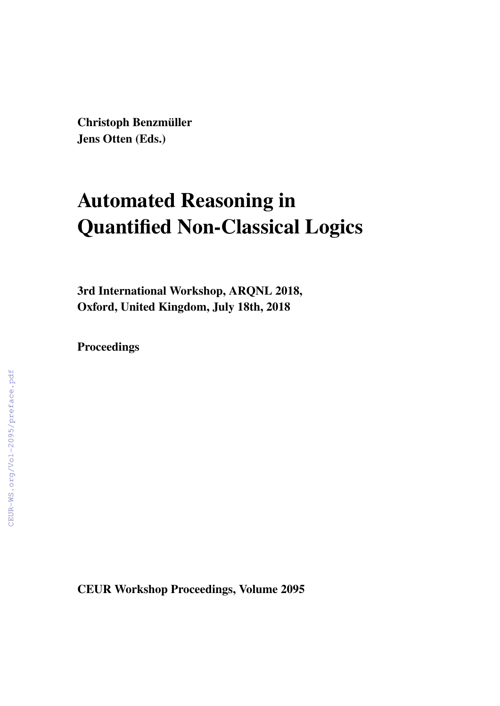Christoph Benzmüller Jens Otten (Eds.)

# Automated Reasoning in Quantified Non-Classical Logics

3rd International Workshop, ARQNL 2018, Oxford, United Kingdom, July 18th, 2018

Proceedings

CEUR Workshop Proceedings, Volume 2095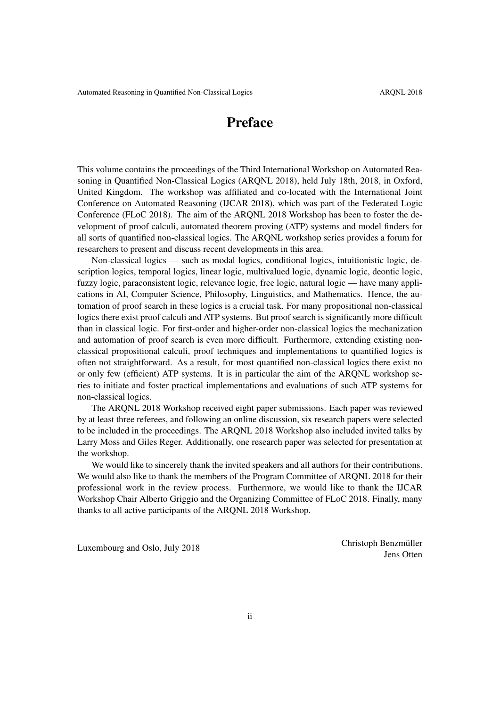## Preface

This volume contains the proceedings of the Third International Workshop on Automated Reasoning in Quantified Non-Classical Logics (ARQNL 2018), held July 18th, 2018, in Oxford, United Kingdom. The workshop was affiliated and co-located with the International Joint Conference on Automated Reasoning (IJCAR 2018), which was part of the Federated Logic Conference (FLoC 2018). The aim of the ARQNL 2018 Workshop has been to foster the development of proof calculi, automated theorem proving (ATP) systems and model finders for all sorts of quantified non-classical logics. The ARQNL workshop series provides a forum for researchers to present and discuss recent developments in this area.

Non-classical logics — such as modal logics, conditional logics, intuitionistic logic, description logics, temporal logics, linear logic, multivalued logic, dynamic logic, deontic logic, fuzzy logic, paraconsistent logic, relevance logic, free logic, natural logic — have many applications in AI, Computer Science, Philosophy, Linguistics, and Mathematics. Hence, the automation of proof search in these logics is a crucial task. For many propositional non-classical logics there exist proof calculi and ATP systems. But proof search is significantly more difficult than in classical logic. For first-order and higher-order non-classical logics the mechanization and automation of proof search is even more difficult. Furthermore, extending existing nonclassical propositional calculi, proof techniques and implementations to quantified logics is often not straightforward. As a result, for most quantified non-classical logics there exist no or only few (efficient) ATP systems. It is in particular the aim of the ARQNL workshop series to initiate and foster practical implementations and evaluations of such ATP systems for non-classical logics.

The ARQNL 2018 Workshop received eight paper submissions. Each paper was reviewed by at least three referees, and following an online discussion, six research papers were selected to be included in the proceedings. The ARQNL 2018 Workshop also included invited talks by Larry Moss and Giles Reger. Additionally, one research paper was selected for presentation at the workshop.

We would like to sincerely thank the invited speakers and all authors for their contributions. We would also like to thank the members of the Program Committee of ARQNL 2018 for their professional work in the review process. Furthermore, we would like to thank the IJCAR Workshop Chair Alberto Griggio and the Organizing Committee of FLoC 2018. Finally, many thanks to all active participants of the ARQNL 2018 Workshop.

Luxembourg and Oslo, July 2018 Christoph Benzmüller Jens Otten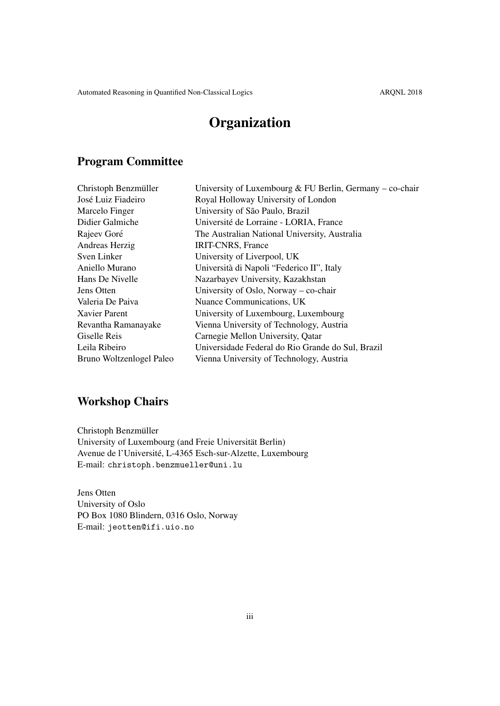# **Organization**

#### Program Committee

| Christoph Benzmüller     | University of Luxembourg & FU Berlin, Germany – co-chair |
|--------------------------|----------------------------------------------------------|
| José Luiz Fiadeiro       | Royal Holloway University of London                      |
| Marcelo Finger           | University of São Paulo, Brazil                          |
| Didier Galmiche          | Université de Lorraine - LORIA, France                   |
| Rajeev Goré              | The Australian National University, Australia            |
| Andreas Herzig           | <b>IRIT-CNRS</b> , France                                |
| Sven Linker              | University of Liverpool, UK                              |
| Aniello Murano           | Università di Napoli "Federico II", Italy                |
| Hans De Nivelle          | Nazarbayev University, Kazakhstan                        |
| Jens Otten               | University of Oslo, Norway – co-chair                    |
| Valeria De Paiva         | Nuance Communications, UK                                |
| Xavier Parent            | University of Luxembourg, Luxembourg                     |
| Revantha Ramanayake      | Vienna University of Technology, Austria                 |
| Giselle Reis             | Carnegie Mellon University, Qatar                        |
| Leila Ribeiro            | Universidade Federal do Rio Grande do Sul, Brazil        |
| Bruno Woltzenlogel Paleo | Vienna University of Technology, Austria                 |
|                          |                                                          |

## Workshop Chairs

Christoph Benzmüller University of Luxembourg (and Freie Universitat Berlin) ¨ Avenue de l'Université, L-4365 Esch-sur-Alzette, Luxembourg E-mail: christoph.benzmueller@uni.lu

Jens Otten University of Oslo PO Box 1080 Blindern, 0316 Oslo, Norway E-mail: jeotten@ifi.uio.no